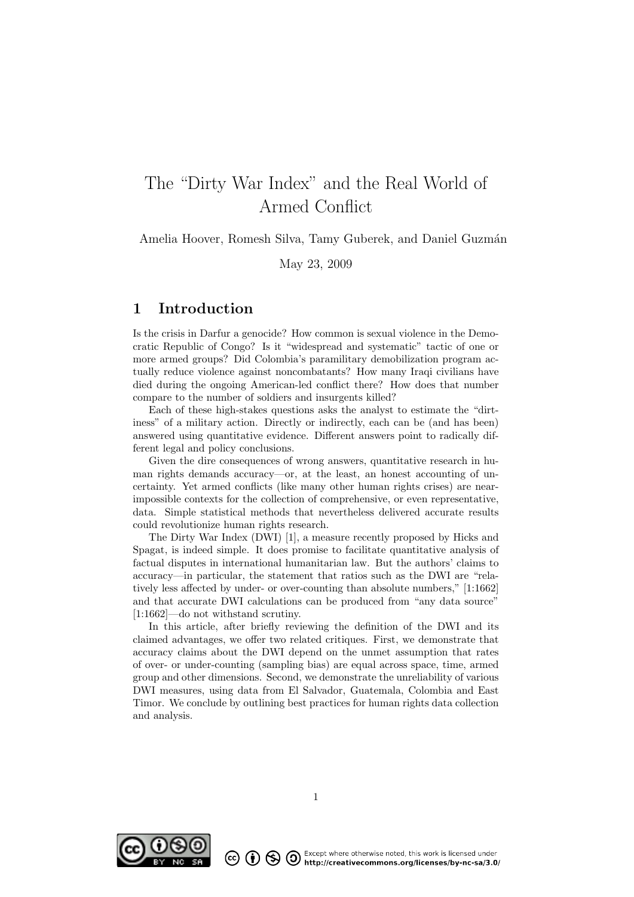# The "Dirty War Index" and the Real World of Armed Conflict

Amelia Hoover, Romesh Silva, Tamy Guberek, and Daniel Guzmán

May 23, 2009

# 1 Introduction

Is the crisis in Darfur a genocide? How common is sexual violence in the Democratic Republic of Congo? Is it "widespread and systematic" tactic of one or more armed groups? Did Colombia's paramilitary demobilization program actually reduce violence against noncombatants? How many Iraqi civilians have died during the ongoing American-led conflict there? How does that number compare to the number of soldiers and insurgents killed?

Each of these high-stakes questions asks the analyst to estimate the "dirtiness" of a military action. Directly or indirectly, each can be (and has been) answered using quantitative evidence. Different answers point to radically different legal and policy conclusions.

Given the dire consequences of wrong answers, quantitative research in human rights demands accuracy—or, at the least, an honest accounting of uncertainty. Yet armed conflicts (like many other human rights crises) are nearimpossible contexts for the collection of comprehensive, or even representative, data. Simple statistical methods that nevertheless delivered accurate results could revolutionize human rights research.

The Dirty War Index (DWI) [1], a measure recently proposed by Hicks and Spagat, is indeed simple. It does promise to facilitate quantitative analysis of factual disputes in international humanitarian law. But the authors' claims to accuracy—in particular, the statement that ratios such as the DWI are "relatively less affected by under- or over-counting than absolute numbers," [1:1662] and that accurate DWI calculations can be produced from "any data source" [1:1662]—do not withstand scrutiny.

In this article, after briefly reviewing the definition of the DWI and its claimed advantages, we offer two related critiques. First, we demonstrate that accuracy claims about the DWI depend on the unmet assumption that rates of over- or under-counting (sampling bias) are equal across space, time, armed group and other dimensions. Second, we demonstrate the unreliability of various DWI measures, using data from El Salvador, Guatemala, Colombia and East Timor. We conclude by outlining best practices for human rights data collection and analysis.



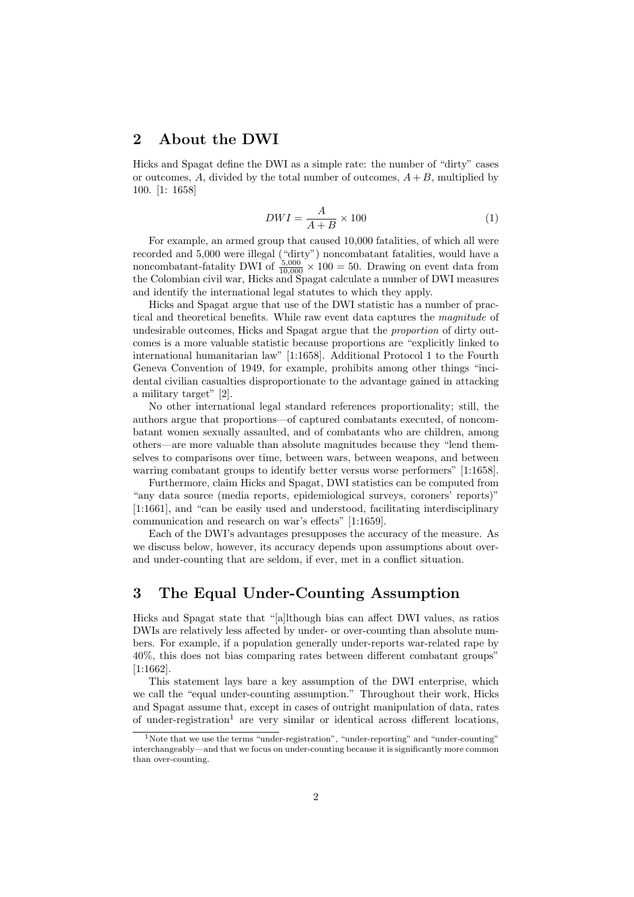### 2 About the DWI

Hicks and Spagat define the DWI as a simple rate: the number of "dirty" cases or outcomes, A, divided by the total number of outcomes,  $A + B$ , multiplied by 100. [1: 1658]

$$
DWI = \frac{A}{A+B} \times 100\tag{1}
$$

For example, an armed group that caused 10,000 fatalities, of which all were recorded and 5,000 were illegal ("dirty") noncombatant fatalities, would have a noncombatant-fatality DWI of  $\frac{5,000}{10,000} \times 100 = 50$ . Drawing on event data from the Colombian civil war, Hicks and Spagat calculate a number of DWI measures and identify the international legal statutes to which they apply.

Hicks and Spagat argue that use of the DWI statistic has a number of practical and theoretical benefits. While raw event data captures the magnitude of undesirable outcomes, Hicks and Spagat argue that the proportion of dirty outcomes is a more valuable statistic because proportions are "explicitly linked to international humanitarian law" [1:1658]. Additional Protocol 1 to the Fourth Geneva Convention of 1949, for example, prohibits among other things "incidental civilian casualties disproportionate to the advantage gained in attacking a military target" [2].

No other international legal standard references proportionality; still, the authors argue that proportions—of captured combatants executed, of noncombatant women sexually assaulted, and of combatants who are children, among others—are more valuable than absolute magnitudes because they "lend themselves to comparisons over time, between wars, between weapons, and between warring combatant groups to identify better versus worse performers" [1:1658].

Furthermore, claim Hicks and Spagat, DWI statistics can be computed from "any data source (media reports, epidemiological surveys, coroners' reports)" [1:1661], and "can be easily used and understood, facilitating interdisciplinary communication and research on war's effects" [1:1659].

Each of the DWI's advantages presupposes the accuracy of the measure. As we discuss below, however, its accuracy depends upon assumptions about overand under-counting that are seldom, if ever, met in a conflict situation.

# 3 The Equal Under-Counting Assumption

Hicks and Spagat state that "[a]lthough bias can affect DWI values, as ratios DWIs are relatively less affected by under- or over-counting than absolute numbers. For example, if a population generally under-reports war-related rape by 40%, this does not bias comparing rates between different combatant groups" [1:1662].

This statement lays bare a key assumption of the DWI enterprise, which we call the "equal under-counting assumption." Throughout their work, Hicks and Spagat assume that, except in cases of outright manipulation of data, rates of under-registration<sup>1</sup> are very similar or identical across different locations,

<sup>&</sup>lt;sup>1</sup>Note that we use the terms "under-registration", "under-reporting" and "under-counting" interchangeably—and that we focus on under-counting because it is significantly more common than over-counting.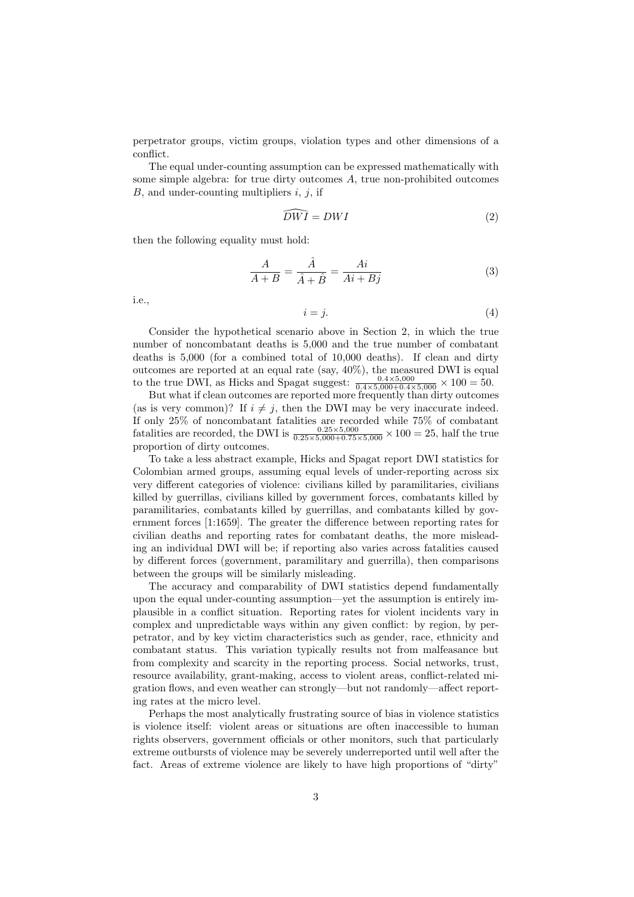perpetrator groups, victim groups, violation types and other dimensions of a conflict.

The equal under-counting assumption can be expressed mathematically with some simple algebra: for true dirty outcomes A, true non-prohibited outcomes  $B$ , and under-counting multipliers  $i, j$ , if

$$
\widehat{DWI} = DWI \tag{2}
$$

then the following equality must hold:

$$
\frac{A}{A+B} = \frac{\hat{A}}{\hat{A}+\hat{B}} = \frac{Ai}{Ai+Bj}
$$
(3)

i.e.,

$$
i = j. \tag{4}
$$

Consider the hypothetical scenario above in Section 2, in which the true number of noncombatant deaths is 5,000 and the true number of combatant deaths is 5,000 (for a combined total of 10,000 deaths). If clean and dirty outcomes are reported at an equal rate (say, 40%), the measured DWI is equal to the true DWI, as Hicks and Spagat suggest:  $\frac{0.4 \times 5{,}000}{0.4 \times 5{,}000 + 0.4 \times 5{,}000} \times 100 = 50$ .

But what if clean outcomes are reported more frequently than dirty outcomes (as is very common)? If  $i \neq j$ , then the DWI may be very inaccurate indeed. If only 25% of noncombatant fatalities are recorded while 75% of combatant fatalities are recorded, the DWI is  $\frac{0.25 \times 5{,}000}{0.25 \times 5{,}000+0.75 \times 5{,}000} \times 100 = 25$ , half the true proportion of dirty outcomes.

To take a less abstract example, Hicks and Spagat report DWI statistics for Colombian armed groups, assuming equal levels of under-reporting across six very different categories of violence: civilians killed by paramilitaries, civilians killed by guerrillas, civilians killed by government forces, combatants killed by paramilitaries, combatants killed by guerrillas, and combatants killed by government forces [1:1659]. The greater the difference between reporting rates for civilian deaths and reporting rates for combatant deaths, the more misleading an individual DWI will be; if reporting also varies across fatalities caused by different forces (government, paramilitary and guerrilla), then comparisons between the groups will be similarly misleading.

The accuracy and comparability of DWI statistics depend fundamentally upon the equal under-counting assumption—yet the assumption is entirely implausible in a conflict situation. Reporting rates for violent incidents vary in complex and unpredictable ways within any given conflict: by region, by perpetrator, and by key victim characteristics such as gender, race, ethnicity and combatant status. This variation typically results not from malfeasance but from complexity and scarcity in the reporting process. Social networks, trust, resource availability, grant-making, access to violent areas, conflict-related migration flows, and even weather can strongly—but not randomly—affect reporting rates at the micro level.

Perhaps the most analytically frustrating source of bias in violence statistics is violence itself: violent areas or situations are often inaccessible to human rights observers, government officials or other monitors, such that particularly extreme outbursts of violence may be severely underreported until well after the fact. Areas of extreme violence are likely to have high proportions of "dirty"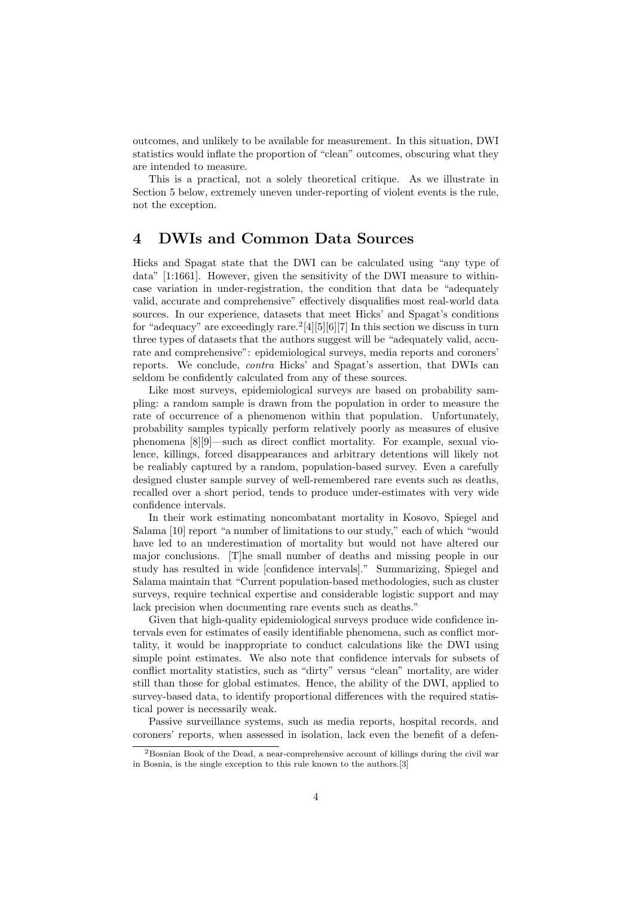outcomes, and unlikely to be available for measurement. In this situation, DWI statistics would inflate the proportion of "clean" outcomes, obscuring what they are intended to measure.

This is a practical, not a solely theoretical critique. As we illustrate in Section 5 below, extremely uneven under-reporting of violent events is the rule, not the exception.

## 4 DWIs and Common Data Sources

Hicks and Spagat state that the DWI can be calculated using "any type of data" [1:1661]. However, given the sensitivity of the DWI measure to withincase variation in under-registration, the condition that data be "adequately valid, accurate and comprehensive" effectively disqualifies most real-world data sources. In our experience, datasets that meet Hicks' and Spagat's conditions for "adequacy" are exceedingly rare.<sup>2</sup>[4][5][6][7] In this section we discuss in turn three types of datasets that the authors suggest will be "adequately valid, accurate and comprehensive": epidemiological surveys, media reports and coroners' reports. We conclude, contra Hicks' and Spagat's assertion, that DWIs can seldom be confidently calculated from any of these sources.

Like most surveys, epidemiological surveys are based on probability sampling: a random sample is drawn from the population in order to measure the rate of occurrence of a phenomenon within that population. Unfortunately, probability samples typically perform relatively poorly as measures of elusive phenomena [8][9]—such as direct conflict mortality. For example, sexual violence, killings, forced disappearances and arbitrary detentions will likely not be realiably captured by a random, population-based survey. Even a carefully designed cluster sample survey of well-remembered rare events such as deaths, recalled over a short period, tends to produce under-estimates with very wide confidence intervals.

In their work estimating noncombatant mortality in Kosovo, Spiegel and Salama [10] report "a number of limitations to our study," each of which "would have led to an underestimation of mortality but would not have altered our major conclusions. [T]he small number of deaths and missing people in our study has resulted in wide [confidence intervals]." Summarizing, Spiegel and Salama maintain that "Current population-based methodologies, such as cluster surveys, require technical expertise and considerable logistic support and may lack precision when documenting rare events such as deaths."

Given that high-quality epidemiological surveys produce wide confidence intervals even for estimates of easily identifiable phenomena, such as conflict mortality, it would be inappropriate to conduct calculations like the DWI using simple point estimates. We also note that confidence intervals for subsets of conflict mortality statistics, such as "dirty" versus "clean" mortality, are wider still than those for global estimates. Hence, the ability of the DWI, applied to survey-based data, to identify proportional differences with the required statistical power is necessarily weak.

Passive surveillance systems, such as media reports, hospital records, and coroners' reports, when assessed in isolation, lack even the benefit of a defen-

 $2B$ osnian Book of the Dead, a near-comprehensive account of killings during the civil war in Bosnia, is the single exception to this rule known to the authors.[3]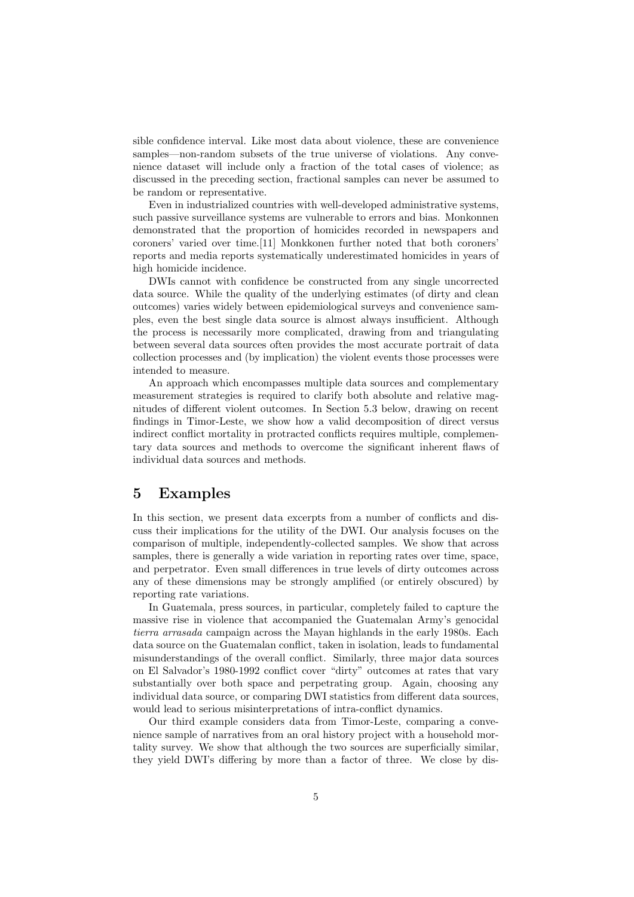sible confidence interval. Like most data about violence, these are convenience samples—non-random subsets of the true universe of violations. Any convenience dataset will include only a fraction of the total cases of violence; as discussed in the preceding section, fractional samples can never be assumed to be random or representative.

Even in industrialized countries with well-developed administrative systems, such passive surveillance systems are vulnerable to errors and bias. Monkonnen demonstrated that the proportion of homicides recorded in newspapers and coroners' varied over time.[11] Monkkonen further noted that both coroners' reports and media reports systematically underestimated homicides in years of high homicide incidence.

DWIs cannot with confidence be constructed from any single uncorrected data source. While the quality of the underlying estimates (of dirty and clean outcomes) varies widely between epidemiological surveys and convenience samples, even the best single data source is almost always insufficient. Although the process is necessarily more complicated, drawing from and triangulating between several data sources often provides the most accurate portrait of data collection processes and (by implication) the violent events those processes were intended to measure.

An approach which encompasses multiple data sources and complementary measurement strategies is required to clarify both absolute and relative magnitudes of different violent outcomes. In Section 5.3 below, drawing on recent findings in Timor-Leste, we show how a valid decomposition of direct versus indirect conflict mortality in protracted conflicts requires multiple, complementary data sources and methods to overcome the significant inherent flaws of individual data sources and methods.

### 5 Examples

In this section, we present data excerpts from a number of conflicts and discuss their implications for the utility of the DWI. Our analysis focuses on the comparison of multiple, independently-collected samples. We show that across samples, there is generally a wide variation in reporting rates over time, space, and perpetrator. Even small differences in true levels of dirty outcomes across any of these dimensions may be strongly amplified (or entirely obscured) by reporting rate variations.

In Guatemala, press sources, in particular, completely failed to capture the massive rise in violence that accompanied the Guatemalan Army's genocidal tierra arrasada campaign across the Mayan highlands in the early 1980s. Each data source on the Guatemalan conflict, taken in isolation, leads to fundamental misunderstandings of the overall conflict. Similarly, three major data sources on El Salvador's 1980-1992 conflict cover "dirty" outcomes at rates that vary substantially over both space and perpetrating group. Again, choosing any individual data source, or comparing DWI statistics from different data sources, would lead to serious misinterpretations of intra-conflict dynamics.

Our third example considers data from Timor-Leste, comparing a convenience sample of narratives from an oral history project with a household mortality survey. We show that although the two sources are superficially similar, they yield DWI's differing by more than a factor of three. We close by dis-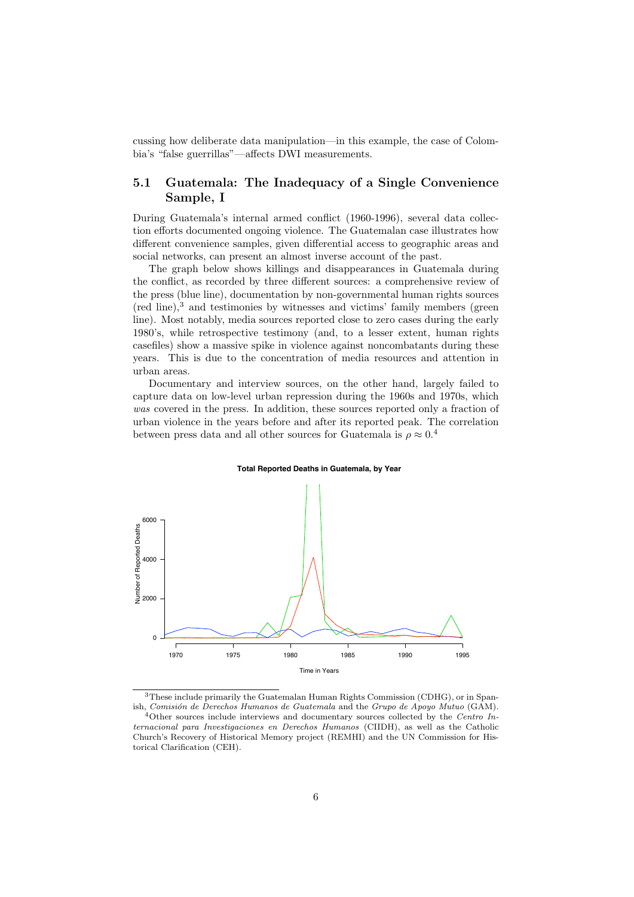cussing how deliberate data manipulation—in this example, the case of Colombia's "false guerrillas"—affects DWI measurements.

### 5.1 Guatemala: The Inadequacy of a Single Convenience Sample, I

During Guatemala's internal armed conflict (1960-1996), several data collection efforts documented ongoing violence. The Guatemalan case illustrates how different convenience samples, given differential access to geographic areas and social networks, can present an almost inverse account of the past.

The graph below shows killings and disappearances in Guatemala during the conflict, as recorded by three different sources: a comprehensive review of the press (blue line), documentation by non-governmental human rights sources (red line),<sup>3</sup> and testimonies by witnesses and victims' family members (green line). Most notably, media sources reported close to zero cases during the early 1980's, while retrospective testimony (and, to a lesser extent, human rights casefiles) show a massive spike in violence against noncombatants during these years. This is due to the concentration of media resources and attention in urban areas.

Documentary and interview sources, on the other hand, largely failed to capture data on low-level urban repression during the 1960s and 1970s, which was covered in the press. In addition, these sources reported only a fraction of urban violence in the years before and after its reported peak. The correlation between press data and all other sources for Guatemala is  $\rho \approx 0.4$ 

#### **Total Reported Deaths in Guatemala, by Year**



<sup>3</sup>These include primarily the Guatemalan Human Rights Commission (CDHG), or in Spanish, Comisión de Derechos Humanos de Guatemala and the Grupo de Apoyo Mutuo (GAM).

 $4$ Other sources include interviews and documentary sources collected by the Centro Internacional para Investigaciones en Derechos Humanos (CIIDH), as well as the Catholic Church's Recovery of Historical Memory project (REMHI) and the UN Commission for Historical Clarification (CEH).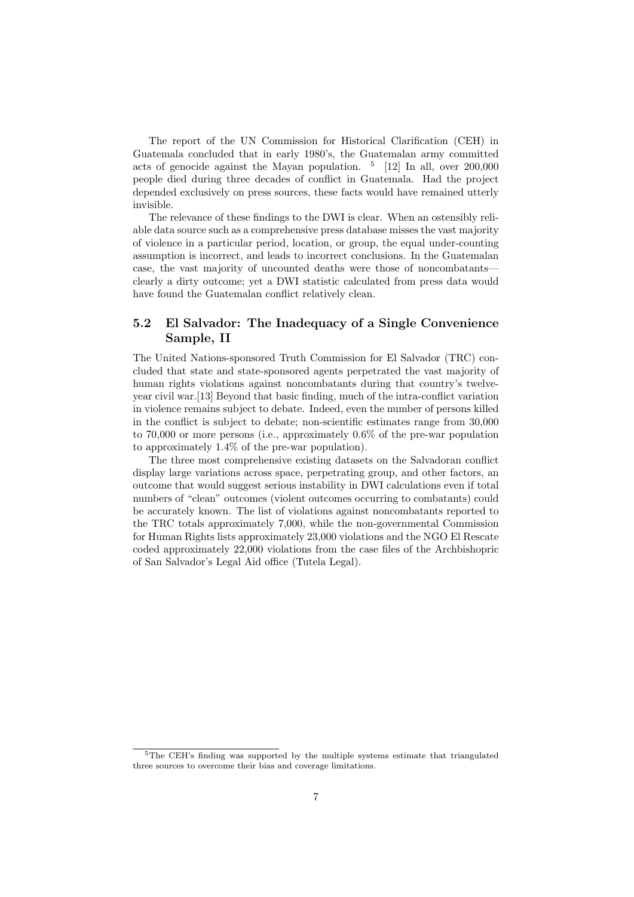The report of the UN Commission for Historical Clarification (CEH) in Guatemala concluded that in early 1980's, the Guatemalan army committed acts of genocide against the Mayan population.  $\frac{5}{12}$  [12] In all, over 200,000 people died during three decades of conflict in Guatemala. Had the project depended exclusively on press sources, these facts would have remained utterly invisible.

The relevance of these findings to the DWI is clear. When an ostensibly reliable data source such as a comprehensive press database misses the vast majority of violence in a particular period, location, or group, the equal under-counting assumption is incorrect, and leads to incorrect conclusions. In the Guatemalan case, the vast majority of uncounted deaths were those of noncombatants clearly a dirty outcome; yet a DWI statistic calculated from press data would have found the Guatemalan conflict relatively clean.

### 5.2 El Salvador: The Inadequacy of a Single Convenience Sample, II

The United Nations-sponsored Truth Commission for El Salvador (TRC) concluded that state and state-sponsored agents perpetrated the vast majority of human rights violations against noncombatants during that country's twelveyear civil war.[13] Beyond that basic finding, much of the intra-conflict variation in violence remains subject to debate. Indeed, even the number of persons killed in the conflict is subject to debate; non-scientific estimates range from 30,000 to 70,000 or more persons (i.e., approximately 0.6% of the pre-war population to approximately 1.4% of the pre-war population).

The three most comprehensive existing datasets on the Salvadoran conflict display large variations across space, perpetrating group, and other factors, an outcome that would suggest serious instability in DWI calculations even if total numbers of "clean" outcomes (violent outcomes occurring to combatants) could be accurately known. The list of violations against noncombatants reported to the TRC totals approximately 7,000, while the non-governmental Commission for Human Rights lists approximately 23,000 violations and the NGO El Rescate coded approximately 22,000 violations from the case files of the Archbishopric of San Salvador's Legal Aid office (Tutela Legal).

<sup>5</sup>The CEH's finding was supported by the multiple systems estimate that triangulated three sources to overcome their bias and coverage limitations.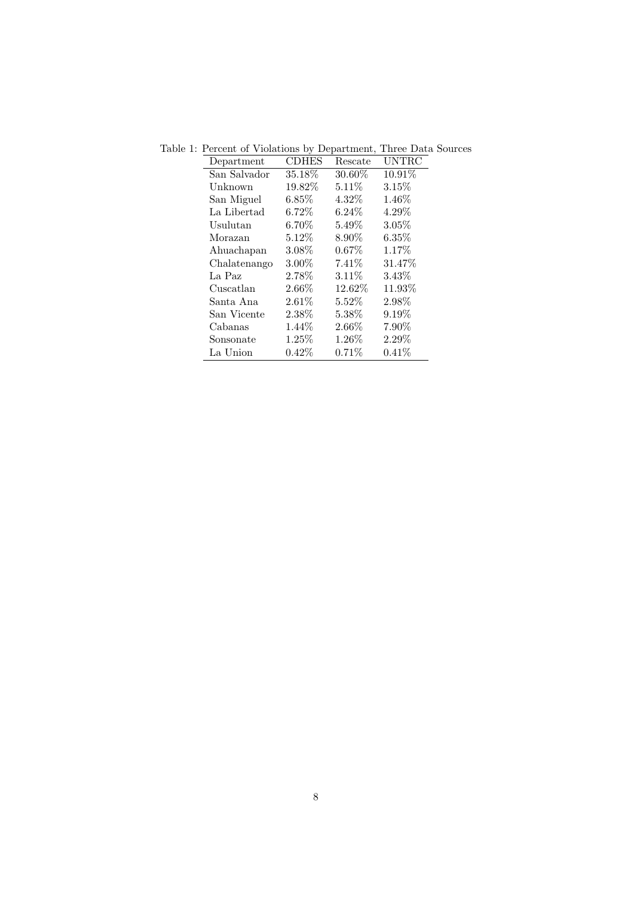| Department   | <b>CDHES</b> | Rescate  | <b>UNTRC</b> |
|--------------|--------------|----------|--------------|
| San Salvador | 35.18%       | 30.60%   | $10.91\%$    |
| Unknown      | 19.82%       | 5.11%    | 3.15%        |
| San Miguel   | $6.85\%$     | 4.32%    | 1.46%        |
| La Libertad  | $6.72\%$     | $6.24\%$ | 4.29%        |
| Usulutan     | $6.70\%$     | $5.49\%$ | 3.05%        |
| Morazan      | $5.12\%$     | 8.90%    | $6.35\%$     |
| Ahuachapan   | 3.08%        | $0.67\%$ | 1.17%        |
| Chalatenango | $3.00\%$     | $7.41\%$ | 31.47\%      |
| La Paz       | 2.78%        | $3.11\%$ | 3.43%        |
| Cuscatlan    | 2.66%        | 12.62\%  | 11.93%       |
| Santa Ana    | $2.61\%$     | $5.52\%$ | 2.98%        |
| San Vicente  | 2.38%        | 5.38%    | 9.19%        |
| Cabanas      | 1.44\%       | 2.66%    | 7.90%        |
| Sonsonate    | 1.25\%       | 1.26\%   | $2.29\%$     |
| La Union     | $0.42\%$     | 0.71%    | $0.41\%$     |

Table 1: Percent of Violations by Department, Three Data Sources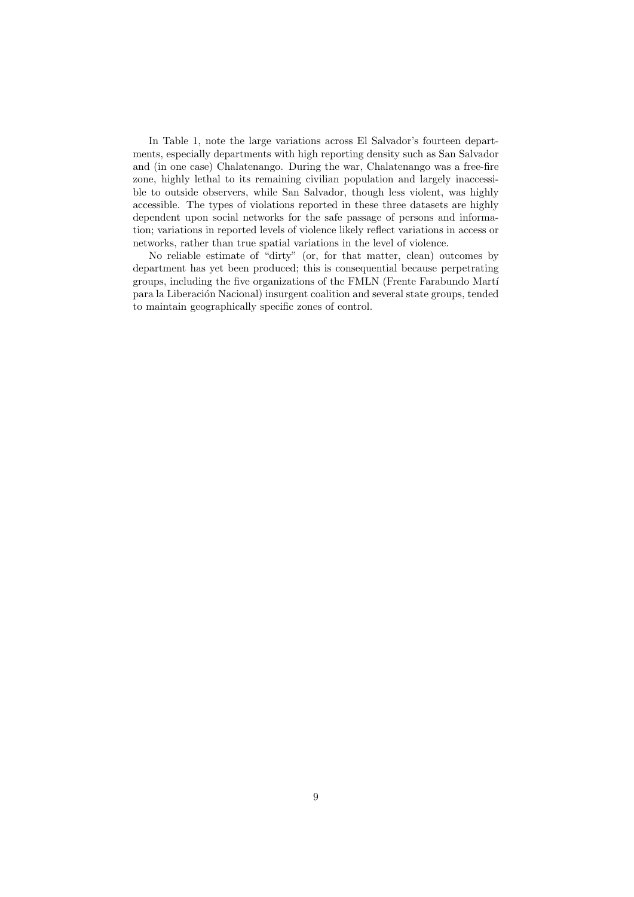In Table 1, note the large variations across El Salvador's fourteen departments, especially departments with high reporting density such as San Salvador and (in one case) Chalatenango. During the war, Chalatenango was a free-fire zone, highly lethal to its remaining civilian population and largely inaccessible to outside observers, while San Salvador, though less violent, was highly accessible. The types of violations reported in these three datasets are highly dependent upon social networks for the safe passage of persons and information; variations in reported levels of violence likely reflect variations in access or networks, rather than true spatial variations in the level of violence.

No reliable estimate of "dirty" (or, for that matter, clean) outcomes by department has yet been produced; this is consequential because perpetrating groups, including the five organizations of the FMLN (Frente Farabundo Martí para la Liberación Nacional) insurgent coalition and several state groups, tended to maintain geographically specific zones of control.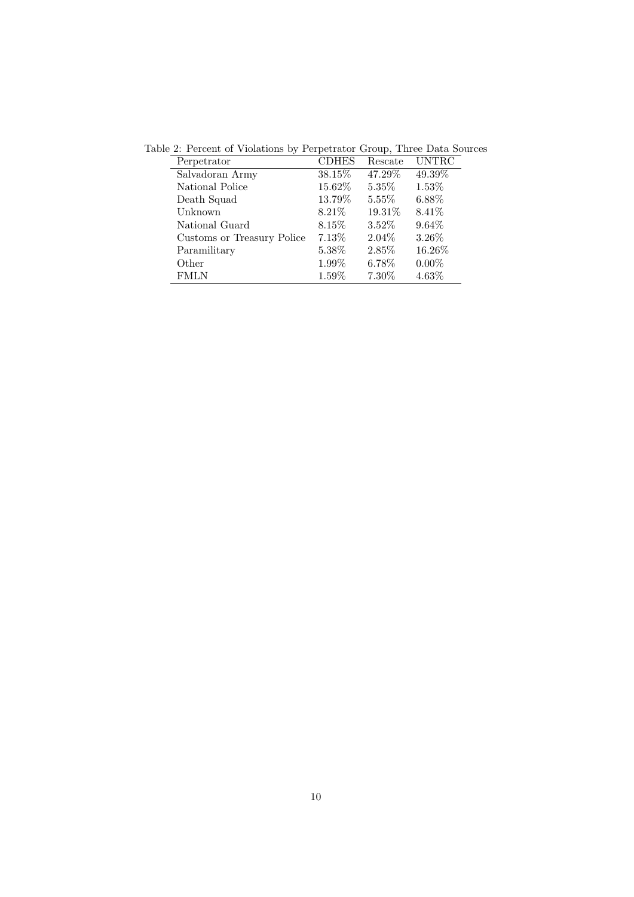| Perpetrator                | <b>CDHES</b> | Rescate  | <b>UNTRC</b> |
|----------------------------|--------------|----------|--------------|
| Salvadoran Army            | 38.15%       | 47.29%   | 49.39%       |
| National Police            | 15.62%       | 5.35%    | 1.53%        |
| Death Squad                | 13.79%       | 5.55%    | 6.88%        |
| Unknown                    | 8.21\%       | 19.31\%  | 8.41\%       |
| National Guard             | 8.15\%       | $3.52\%$ | $9.64\%$     |
| Customs or Treasury Police | 7.13\%       | 2.04%    | 3.26%        |
| Paramilitary               | 5.38%        | 2.85%    | 16.26%       |
| Other                      | 1.99%        | 6.78%    | $0.00\%$     |
| <b>FMLN</b>                | 1.59%        | $7.30\%$ | 4.63%        |

Table 2: Percent of Violations by Perpetrator Group, Three Data Sources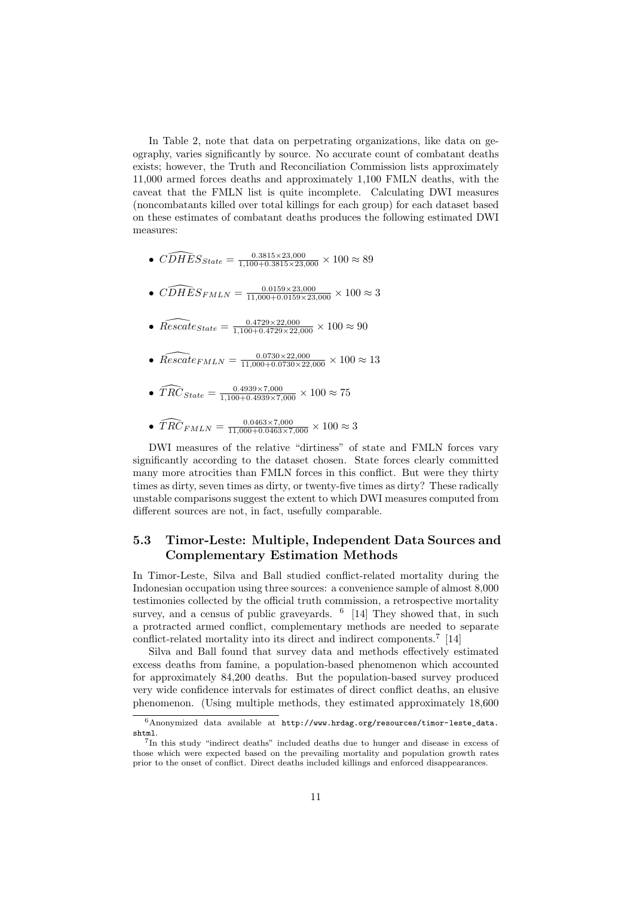In Table 2, note that data on perpetrating organizations, like data on geography, varies significantly by source. No accurate count of combatant deaths exists; however, the Truth and Reconciliation Commission lists approximately 11,000 armed forces deaths and approximately 1,100 FMLN deaths, with the caveat that the FMLN list is quite incomplete. Calculating DWI measures (noncombatants killed over total killings for each group) for each dataset based on these estimates of combatant deaths produces the following estimated DWI measures:

- $\widehat{CDHES}_{State} = \frac{0.3815 \times 23,000}{1,100+0.3815 \times 23,000} \times 100 \approx 89$
- $\widehat{CDHES}_{FMLN} = \frac{0.0159 \times 23,000}{11,000+0.0159 \times 23,000} \times 100 \approx 3$
- $\widehat{Rescale}_{State} = \frac{0.4729 \times 22,000}{1,100+0.4729 \times 22,000} \times 100 \approx 90$
- $\widehat{Research}_{FMLN} = \frac{0.0730 \times 22,000}{11,000+0.0730 \times 22,000} \times 100 \approx 13$
- $\widehat{TRC}_{State} = \frac{0.4939 \times 7{,}000}{1{,}100 + 0.4939 \times 7{,}000} \times 100 \approx 75$
- $\widehat{TRC}_{FMLN} = \frac{0.0463 \times 7{,}000}{11{,}000 + 0.0463 \times 7{,}000} \times 100 \approx 3$

DWI measures of the relative "dirtiness" of state and FMLN forces vary significantly according to the dataset chosen. State forces clearly committed many more atrocities than FMLN forces in this conflict. But were they thirty times as dirty, seven times as dirty, or twenty-five times as dirty? These radically unstable comparisons suggest the extent to which DWI measures computed from different sources are not, in fact, usefully comparable.

### 5.3 Timor-Leste: Multiple, Independent Data Sources and Complementary Estimation Methods

In Timor-Leste, Silva and Ball studied conflict-related mortality during the Indonesian occupation using three sources: a convenience sample of almost 8,000 testimonies collected by the official truth commission, a retrospective mortality survey, and a census of public graveyards. <sup>6</sup> [14] They showed that, in such a protracted armed conflict, complementary methods are needed to separate conflict-related mortality into its direct and indirect components.<sup>7</sup> [14]

Silva and Ball found that survey data and methods effectively estimated excess deaths from famine, a population-based phenomenon which accounted for approximately 84,200 deaths. But the population-based survey produced very wide confidence intervals for estimates of direct conflict deaths, an elusive phenomenon. (Using multiple methods, they estimated approximately 18,600

 $6$ Anonymized data available at http://www.hrdag.org/resources/timor-leste\_data. shtml.

<sup>7</sup> In this study "indirect deaths" included deaths due to hunger and disease in excess of those which were expected based on the prevailing mortality and population growth rates prior to the onset of conflict. Direct deaths included killings and enforced disappearances.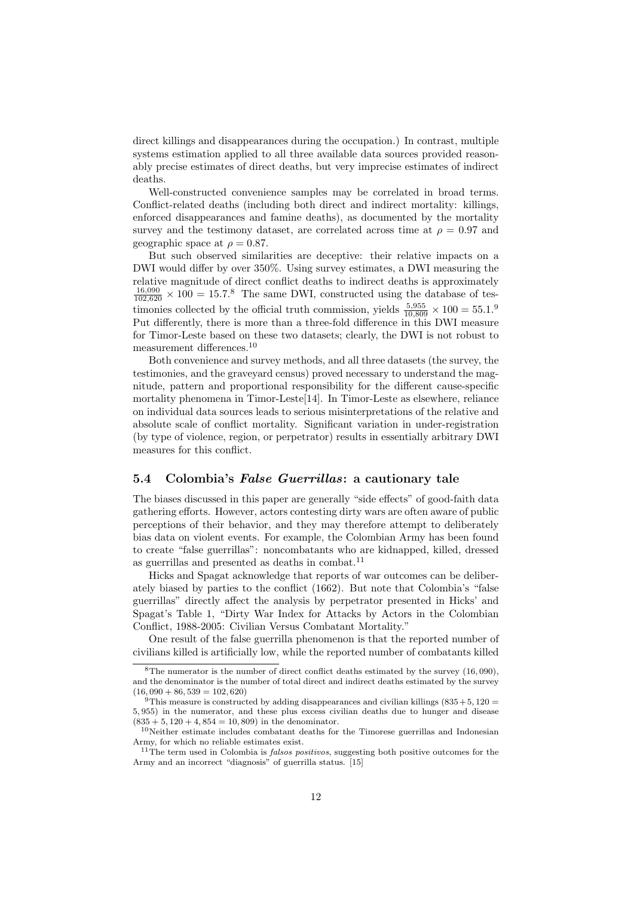direct killings and disappearances during the occupation.) In contrast, multiple systems estimation applied to all three available data sources provided reasonably precise estimates of direct deaths, but very imprecise estimates of indirect deaths.

Well-constructed convenience samples may be correlated in broad terms. Conflict-related deaths (including both direct and indirect mortality: killings, enforced disappearances and famine deaths), as documented by the mortality survey and the testimony dataset, are correlated across time at  $\rho = 0.97$  and geographic space at  $\rho = 0.87$ .

But such observed similarities are deceptive: their relative impacts on a DWI would differ by over 350%. Using survey estimates, a DWI measuring the relative magnitude of direct conflict deaths to indirect deaths is approximately  $\frac{16,090}{102,620} \times 100 = 15.7$ .<sup>8</sup> The same DWI, constructed using the database of testimonies collected by the official truth commission, yields  $\frac{5,955}{10,809} \times 100 = 55.1$ .<sup>9</sup> Put differently, there is more than a three-fold difference in this DWI measure for Timor-Leste based on these two datasets; clearly, the DWI is not robust to measurement differences.<sup>10</sup>

Both convenience and survey methods, and all three datasets (the survey, the testimonies, and the graveyard census) proved necessary to understand the magnitude, pattern and proportional responsibility for the different cause-specific mortality phenomena in Timor-Leste<sup>[14]</sup>. In Timor-Leste as elsewhere, reliance on individual data sources leads to serious misinterpretations of the relative and absolute scale of conflict mortality. Significant variation in under-registration (by type of violence, region, or perpetrator) results in essentially arbitrary DWI measures for this conflict.

### 5.4 Colombia's False Guerrillas: a cautionary tale

The biases discussed in this paper are generally "side effects" of good-faith data gathering efforts. However, actors contesting dirty wars are often aware of public perceptions of their behavior, and they may therefore attempt to deliberately bias data on violent events. For example, the Colombian Army has been found to create "false guerrillas": noncombatants who are kidnapped, killed, dressed as guerrillas and presented as deaths in combat.<sup>11</sup>

Hicks and Spagat acknowledge that reports of war outcomes can be deliberately biased by parties to the conflict (1662). But note that Colombia's "false guerrillas" directly affect the analysis by perpetrator presented in Hicks' and Spagat's Table 1, "Dirty War Index for Attacks by Actors in the Colombian Conflict, 1988-2005: Civilian Versus Combatant Mortality."

One result of the false guerrilla phenomenon is that the reported number of civilians killed is artificially low, while the reported number of combatants killed

 ${}^{8}$ The numerator is the number of direct conflict deaths estimated by the survey (16,090), and the denominator is the number of total direct and indirect deaths estimated by the survey  $(16, 090 + 86, 539 = 102, 620)$ 

 $9$ This measure is constructed by adding disappearances and civilian killings (835+5,120 = 5, 955) in the numerator, and these plus excess civilian deaths due to hunger and disease  $(835 + 5, 120 + 4, 854 = 10, 809)$  in the denominator.

 $^{10}\rm{Ne}$  estimate includes combatant deaths for the Timorese guerrillas and Indonesian Army, for which no reliable estimates exist.

 $11$ <sup>The term used in Colombia is *falsos positivos*, suggesting both positive outcomes for the</sup> Army and an incorrect "diagnosis" of guerrilla status. [15]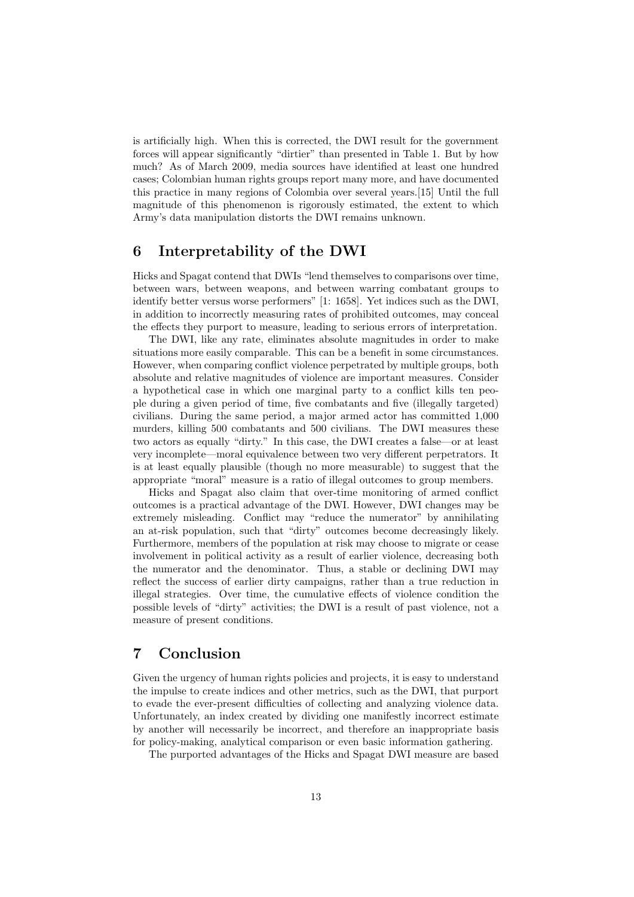is artificially high. When this is corrected, the DWI result for the government forces will appear significantly "dirtier" than presented in Table 1. But by how much? As of March 2009, media sources have identified at least one hundred cases; Colombian human rights groups report many more, and have documented this practice in many regions of Colombia over several years.[15] Until the full magnitude of this phenomenon is rigorously estimated, the extent to which Army's data manipulation distorts the DWI remains unknown.

# 6 Interpretability of the DWI

Hicks and Spagat contend that DWIs "lend themselves to comparisons over time, between wars, between weapons, and between warring combatant groups to identify better versus worse performers" [1: 1658]. Yet indices such as the DWI, in addition to incorrectly measuring rates of prohibited outcomes, may conceal the effects they purport to measure, leading to serious errors of interpretation.

The DWI, like any rate, eliminates absolute magnitudes in order to make situations more easily comparable. This can be a benefit in some circumstances. However, when comparing conflict violence perpetrated by multiple groups, both absolute and relative magnitudes of violence are important measures. Consider a hypothetical case in which one marginal party to a conflict kills ten people during a given period of time, five combatants and five (illegally targeted) civilians. During the same period, a major armed actor has committed 1,000 murders, killing 500 combatants and 500 civilians. The DWI measures these two actors as equally "dirty." In this case, the DWI creates a false—or at least very incomplete—moral equivalence between two very different perpetrators. It is at least equally plausible (though no more measurable) to suggest that the appropriate "moral" measure is a ratio of illegal outcomes to group members.

Hicks and Spagat also claim that over-time monitoring of armed conflict outcomes is a practical advantage of the DWI. However, DWI changes may be extremely misleading. Conflict may "reduce the numerator" by annihilating an at-risk population, such that "dirty" outcomes become decreasingly likely. Furthermore, members of the population at risk may choose to migrate or cease involvement in political activity as a result of earlier violence, decreasing both the numerator and the denominator. Thus, a stable or declining DWI may reflect the success of earlier dirty campaigns, rather than a true reduction in illegal strategies. Over time, the cumulative effects of violence condition the possible levels of "dirty" activities; the DWI is a result of past violence, not a measure of present conditions.

# 7 Conclusion

Given the urgency of human rights policies and projects, it is easy to understand the impulse to create indices and other metrics, such as the DWI, that purport to evade the ever-present difficulties of collecting and analyzing violence data. Unfortunately, an index created by dividing one manifestly incorrect estimate by another will necessarily be incorrect, and therefore an inappropriate basis for policy-making, analytical comparison or even basic information gathering.

The purported advantages of the Hicks and Spagat DWI measure are based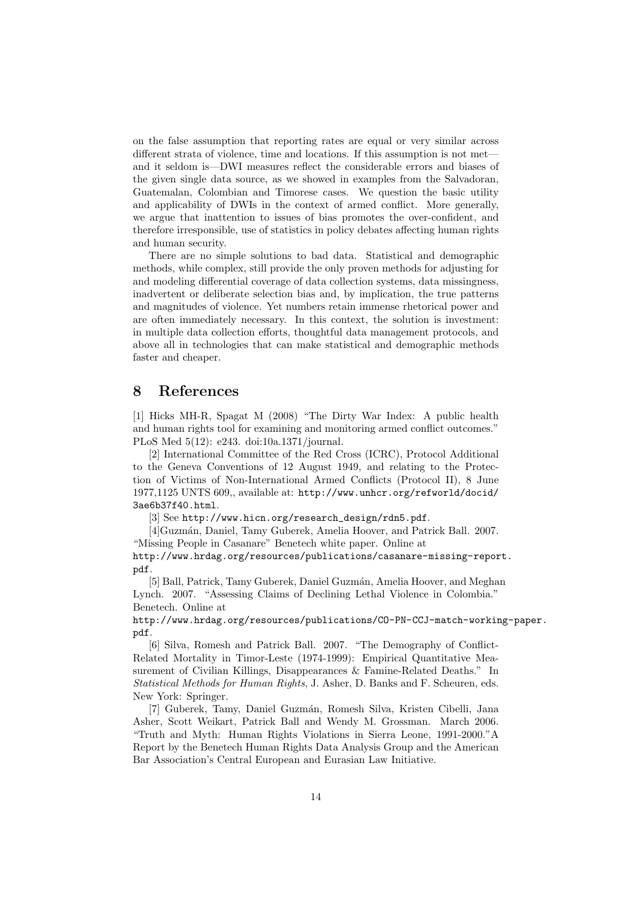on the false assumption that reporting rates are equal or very similar across different strata of violence, time and locations. If this assumption is not met and it seldom is—DWI measures reflect the considerable errors and biases of the given single data source, as we showed in examples from the Salvadoran, Guatemalan, Colombian and Timorese cases. We question the basic utility and applicability of DWIs in the context of armed conflict. More generally, we argue that inattention to issues of bias promotes the over-confident, and therefore irresponsible, use of statistics in policy debates affecting human rights and human security.

There are no simple solutions to bad data. Statistical and demographic methods, while complex, still provide the only proven methods for adjusting for and modeling differential coverage of data collection systems, data missingness, inadvertent or deliberate selection bias and, by implication, the true patterns and magnitudes of violence. Yet numbers retain immense rhetorical power and are often immediately necessary. In this context, the solution is investment: in multiple data collection efforts, thoughtful data management protocols, and above all in technologies that can make statistical and demographic methods faster and cheaper.

### 8 References

[1] Hicks MH-R, Spagat M (2008) "The Dirty War Index: A public health and human rights tool for examining and monitoring armed conflict outcomes." PLoS Med 5(12): e243. doi:10a.1371/journal.

[2] International Committee of the Red Cross (ICRC), Protocol Additional to the Geneva Conventions of 12 August 1949, and relating to the Protection of Victims of Non-International Armed Conflicts (Protocol II), 8 June 1977,1125 UNTS 609,, available at: http://www.unhcr.org/refworld/docid/ 3ae6b37f40.html.

[3] See http://www.hicn.org/research\_design/rdn5.pdf.

[4]Guzmán, Daniel, Tamy Guberek, Amelia Hoover, and Patrick Ball. 2007. "Missing People in Casanare" Benetech white paper. Online at

http://www.hrdag.org/resources/publications/casanare-missing-report. pdf.

[5] Ball, Patrick, Tamy Guberek, Daniel Guzm´an, Amelia Hoover, and Meghan Lynch. 2007. "Assessing Claims of Declining Lethal Violence in Colombia." Benetech. Online at

http://www.hrdag.org/resources/publications/CO-PN-CCJ-match-working-paper. pdf.

[6] Silva, Romesh and Patrick Ball. 2007. "The Demography of Conflict-Related Mortality in Timor-Leste (1974-1999): Empirical Quantitative Measurement of Civilian Killings, Disappearances & Famine-Related Deaths." In Statistical Methods for Human Rights, J. Asher, D. Banks and F. Scheuren, eds. New York: Springer.

[7] Guberek, Tamy, Daniel Guzm´an, Romesh Silva, Kristen Cibelli, Jana Asher, Scott Weikart, Patrick Ball and Wendy M. Grossman. March 2006. "Truth and Myth: Human Rights Violations in Sierra Leone, 1991-2000."A Report by the Benetech Human Rights Data Analysis Group and the American Bar Association's Central European and Eurasian Law Initiative.